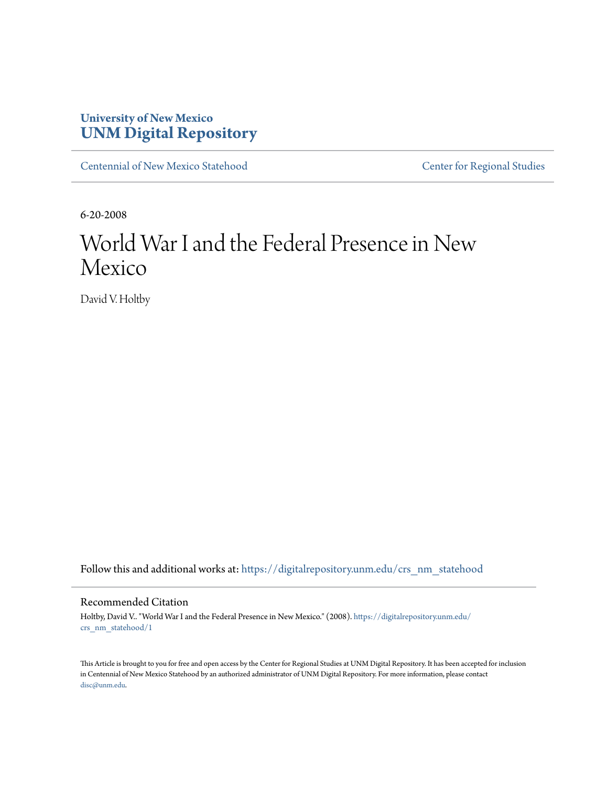## **University of New Mexico [UNM Digital Repository](https://digitalrepository.unm.edu?utm_source=digitalrepository.unm.edu%2Fcrs_nm_statehood%2F1&utm_medium=PDF&utm_campaign=PDFCoverPages)**

[Centennial of New Mexico Statehood](https://digitalrepository.unm.edu/crs_nm_statehood?utm_source=digitalrepository.unm.edu%2Fcrs_nm_statehood%2F1&utm_medium=PDF&utm_campaign=PDFCoverPages) [Center for Regional Studies](https://digitalrepository.unm.edu/crs?utm_source=digitalrepository.unm.edu%2Fcrs_nm_statehood%2F1&utm_medium=PDF&utm_campaign=PDFCoverPages)

6-20-2008

# World War I and the Federal Presence in New Mexico

David V. Holtby

Follow this and additional works at: [https://digitalrepository.unm.edu/crs\\_nm\\_statehood](https://digitalrepository.unm.edu/crs_nm_statehood?utm_source=digitalrepository.unm.edu%2Fcrs_nm_statehood%2F1&utm_medium=PDF&utm_campaign=PDFCoverPages)

### Recommended Citation

Holtby, David V.. "World War I and the Federal Presence in New Mexico." (2008). [https://digitalrepository.unm.edu/](https://digitalrepository.unm.edu/crs_nm_statehood/1?utm_source=digitalrepository.unm.edu%2Fcrs_nm_statehood%2F1&utm_medium=PDF&utm_campaign=PDFCoverPages) [crs\\_nm\\_statehood/1](https://digitalrepository.unm.edu/crs_nm_statehood/1?utm_source=digitalrepository.unm.edu%2Fcrs_nm_statehood%2F1&utm_medium=PDF&utm_campaign=PDFCoverPages)

This Article is brought to you for free and open access by the Center for Regional Studies at UNM Digital Repository. It has been accepted for inclusion in Centennial of New Mexico Statehood by an authorized administrator of UNM Digital Repository. For more information, please contact [disc@unm.edu](mailto:disc@unm.edu).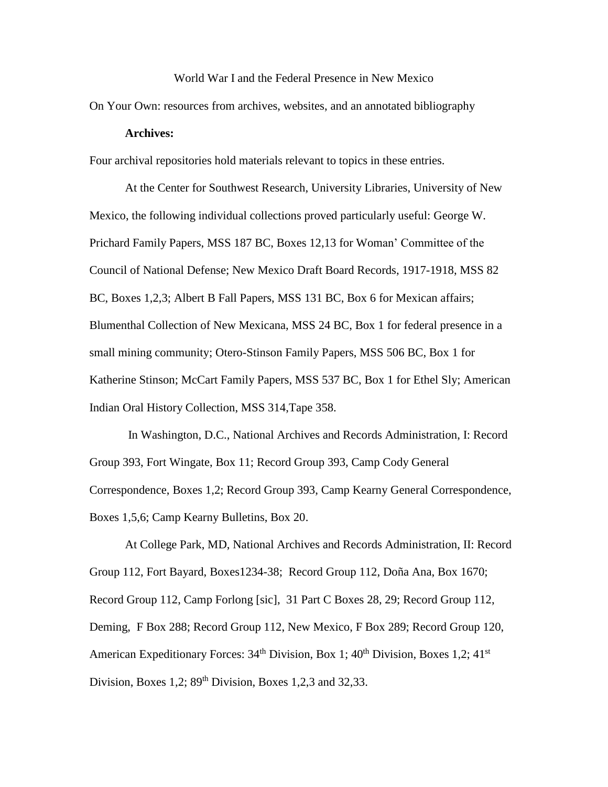### World War I and the Federal Presence in New Mexico

On Your Own: resources from archives, websites, and an annotated bibliography

### **Archives:**

Four archival repositories hold materials relevant to topics in these entries.

At the Center for Southwest Research, University Libraries, University of New Mexico, the following individual collections proved particularly useful: George W. Prichard Family Papers, MSS 187 BC, Boxes 12,13 for Woman' Committee of the Council of National Defense; New Mexico Draft Board Records, 1917-1918, MSS 82 BC, Boxes 1,2,3; Albert B Fall Papers, MSS 131 BC, Box 6 for Mexican affairs; Blumenthal Collection of New Mexicana, MSS 24 BC, Box 1 for federal presence in a small mining community; Otero-Stinson Family Papers, MSS 506 BC, Box 1 for Katherine Stinson; McCart Family Papers, MSS 537 BC, Box 1 for Ethel Sly; American Indian Oral History Collection, MSS 314,Tape 358.

In Washington, D.C., National Archives and Records Administration, I: Record Group 393, Fort Wingate, Box 11; Record Group 393, Camp Cody General Correspondence, Boxes 1,2; Record Group 393, Camp Kearny General Correspondence, Boxes 1,5,6; Camp Kearny Bulletins, Box 20.

At College Park, MD, National Archives and Records Administration, II: Record Group 112, Fort Bayard, Boxes1234-38; Record Group 112, Doña Ana, Box 1670; Record Group 112, Camp Forlong [sic], 31 Part C Boxes 28, 29; Record Group 112, Deming, F Box 288; Record Group 112, New Mexico, F Box 289; Record Group 120, American Expeditionary Forces:  $34<sup>th</sup>$  Division, Box 1;  $40<sup>th</sup>$  Division, Boxes 1,2;  $41<sup>st</sup>$ Division, Boxes 1,2;  $89<sup>th</sup>$  Division, Boxes 1,2,3 and 32,33.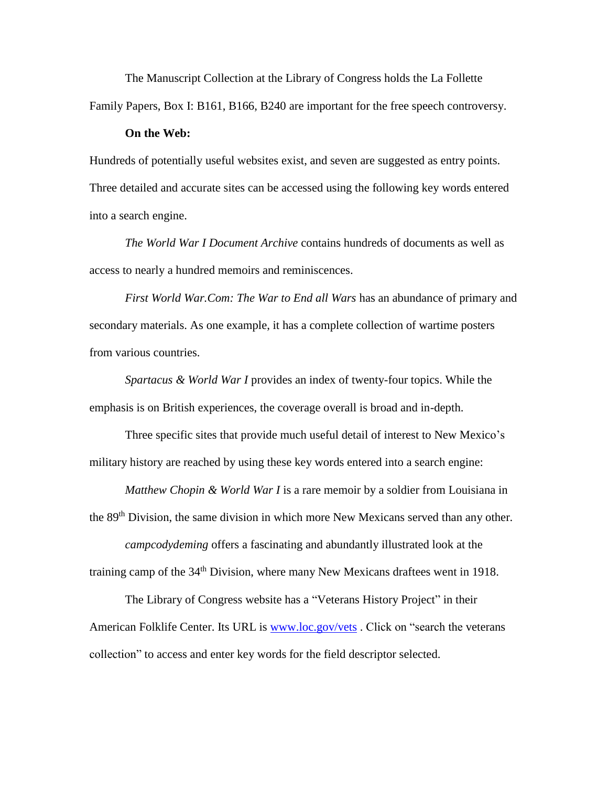The Manuscript Collection at the Library of Congress holds the La Follette Family Papers, Box I: B161, B166, B240 are important for the free speech controversy.

#### **On the Web:**

Hundreds of potentially useful websites exist, and seven are suggested as entry points. Three detailed and accurate sites can be accessed using the following key words entered into a search engine.

*The World War I Document Archive* contains hundreds of documents as well as access to nearly a hundred memoirs and reminiscences.

*First World War.Com: The War to End all Wars* has an abundance of primary and secondary materials. As one example, it has a complete collection of wartime posters from various countries.

*Spartacus & World War I* provides an index of twenty-four topics. While the emphasis is on British experiences, the coverage overall is broad and in-depth.

Three specific sites that provide much useful detail of interest to New Mexico's military history are reached by using these key words entered into a search engine:

*Matthew Chopin & World War I* is a rare memoir by a soldier from Louisiana in the 89<sup>th</sup> Division, the same division in which more New Mexicans served than any other.

*campcodydeming* offers a fascinating and abundantly illustrated look at the training camp of the 34<sup>th</sup> Division, where many New Mexicans draftees went in 1918.

The Library of Congress website has a "Veterans History Project" in their American Folklife Center. Its URL is [www.loc.gov/vets](http://www.loc.gov/vets) . Click on "search the veterans collection" to access and enter key words for the field descriptor selected.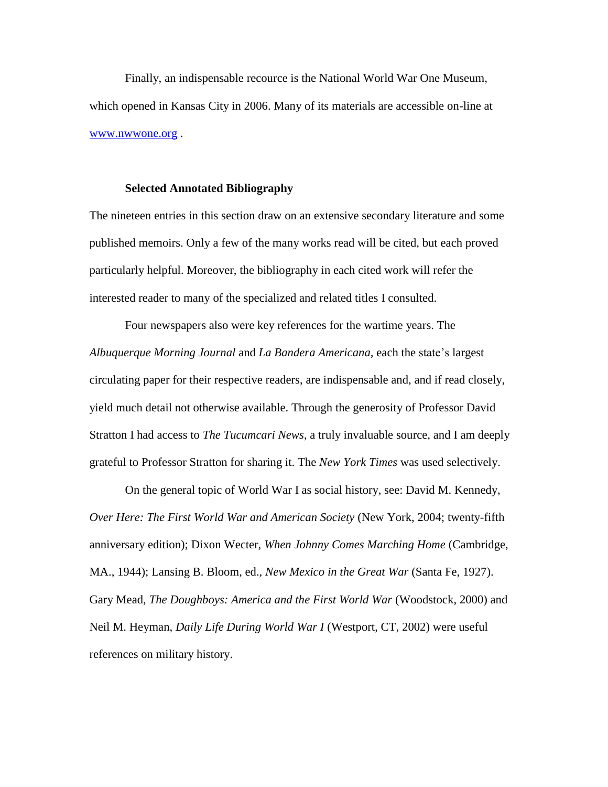Finally, an indispensable recource is the National World War One Museum, which opened in Kansas City in 2006. Many of its materials are accessible on-line at [www.nwwone.org](http://www.nwwone.org/) .

### **Selected Annotated Bibliography**

The nineteen entries in this section draw on an extensive secondary literature and some published memoirs. Only a few of the many works read will be cited, but each proved particularly helpful. Moreover, the bibliography in each cited work will refer the interested reader to many of the specialized and related titles I consulted.

Four newspapers also were key references for the wartime years. The *Albuquerque Morning Journal* and *La Bandera Americana,* each the state's largest circulating paper for their respective readers, are indispensable and, and if read closely, yield much detail not otherwise available. Through the generosity of Professor David Stratton I had access to *The Tucumcari News*, a truly invaluable source, and I am deeply grateful to Professor Stratton for sharing it. The *New York Times* was used selectively.

On the general topic of World War I as social history, see: David M. Kennedy, *Over Here: The First World War and American Society* (New York, 2004; twenty-fifth anniversary edition); Dixon Wecter, *When Johnny Comes Marching Home* (Cambridge, MA., 1944); Lansing B. Bloom, ed., *New Mexico in the Great War* (Santa Fe, 1927). Gary Mead, *The Doughboys: America and the First World War* (Woodstock, 2000) and Neil M. Heyman, *Daily Life During World War I* (Westport, CT, 2002) were useful references on military history.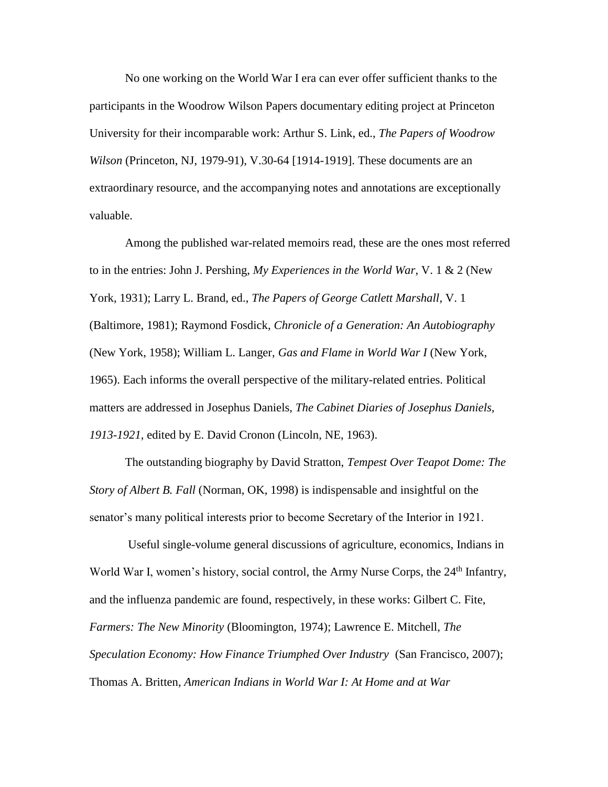No one working on the World War I era can ever offer sufficient thanks to the participants in the Woodrow Wilson Papers documentary editing project at Princeton University for their incomparable work: Arthur S. Link, ed., *The Papers of Woodrow Wilson* (Princeton, NJ, 1979-91), V.30-64 [1914-1919]. These documents are an extraordinary resource, and the accompanying notes and annotations are exceptionally valuable.

Among the published war-related memoirs read, these are the ones most referred to in the entries: John J. Pershing, *My Experiences in the World War*, V. 1 & 2 (New York, 1931); Larry L. Brand, ed., *The Papers of George Catlett Marshall*, V. 1 (Baltimore, 1981); Raymond Fosdick, *Chronicle of a Generation: An Autobiography*  (New York, 1958); William L. Langer, *Gas and Flame in World War I* (New York, 1965). Each informs the overall perspective of the military-related entries. Political matters are addressed in Josephus Daniels, *The Cabinet Diaries of Josephus Daniels, 1913-1921,* edited by E. David Cronon (Lincoln, NE, 1963).

The outstanding biography by David Stratton, *Tempest Over Teapot Dome: The Story of Albert B. Fall* (Norman, OK, 1998) is indispensable and insightful on the senator's many political interests prior to become Secretary of the Interior in 1921.

Useful single-volume general discussions of agriculture, economics, Indians in World War I, women's history, social control, the Army Nurse Corps, the 24<sup>th</sup> Infantry, and the influenza pandemic are found, respectively, in these works: Gilbert C. Fite, *Farmers: The New Minority* (Bloomington, 1974); Lawrence E. Mitchell, *The Speculation Economy: How Finance Triumphed Over Industry* (San Francisco, 2007); Thomas A. Britten, *American Indians in World War I: At Home and at War*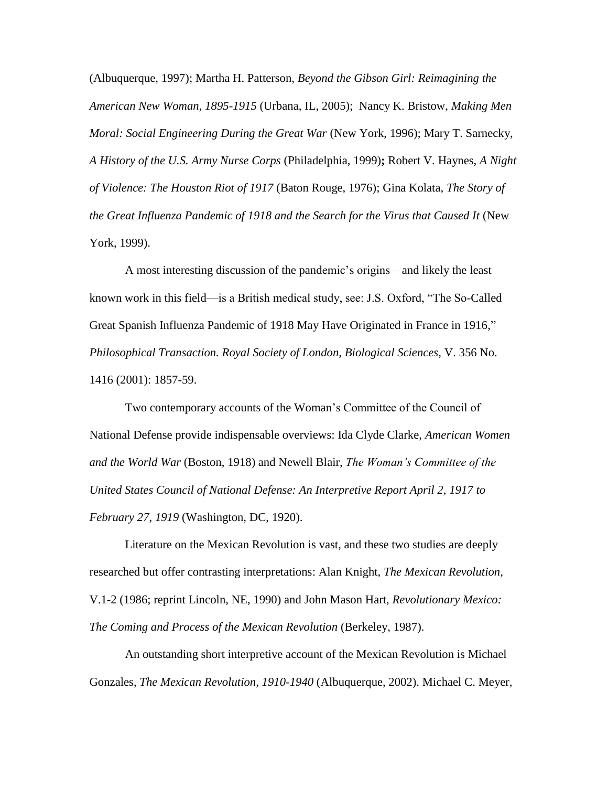(Albuquerque, 1997); Martha H. Patterson, *Beyond the Gibson Girl: Reimagining the American New Woman, 1895-1915* (Urbana, IL, 2005); Nancy K. Bristow, *Making Men Moral: Social Engineering During the Great War* (New York, 1996); Mary T. Sarnecky, *A History of the U.S. Army Nurse Corps* (Philadelphia, 1999)**;** Robert V. Haynes, *A Night of Violence: The Houston Riot of 1917* (Baton Rouge, 1976); Gina Kolata, *The Story of the Great Influenza Pandemic of 1918 and the Search for the Virus that Caused It (New* York, 1999).

A most interesting discussion of the pandemic's origins—and likely the least known work in this field—is a British medical study, see: J.S. Oxford, "The So-Called Great Spanish Influenza Pandemic of 1918 May Have Originated in France in 1916," *Philosophical Transaction. Royal Society of London, Biological Sciences,* V. 356 No. 1416 (2001): 1857-59.

Two contemporary accounts of the Woman's Committee of the Council of National Defense provide indispensable overviews: Ida Clyde Clarke, *American Women and the World War* (Boston, 1918) and Newell Blair, *The Woman's Committee of the United States Council of National Defense: An Interpretive Report April 2, 1917 to February 27, 1919* (Washington, DC, 1920).

Literature on the Mexican Revolution is vast, and these two studies are deeply researched but offer contrasting interpretations: Alan Knight, *The Mexican Revolution,* V.1-2 (1986; reprint Lincoln, NE, 1990) and John Mason Hart, *Revolutionary Mexico: The Coming and Process of the Mexican Revolution* (Berkeley, 1987).

An outstanding short interpretive account of the Mexican Revolution is Michael Gonzales, *The Mexican Revolution, 1910-1940* (Albuquerque, 2002). Michael C. Meyer,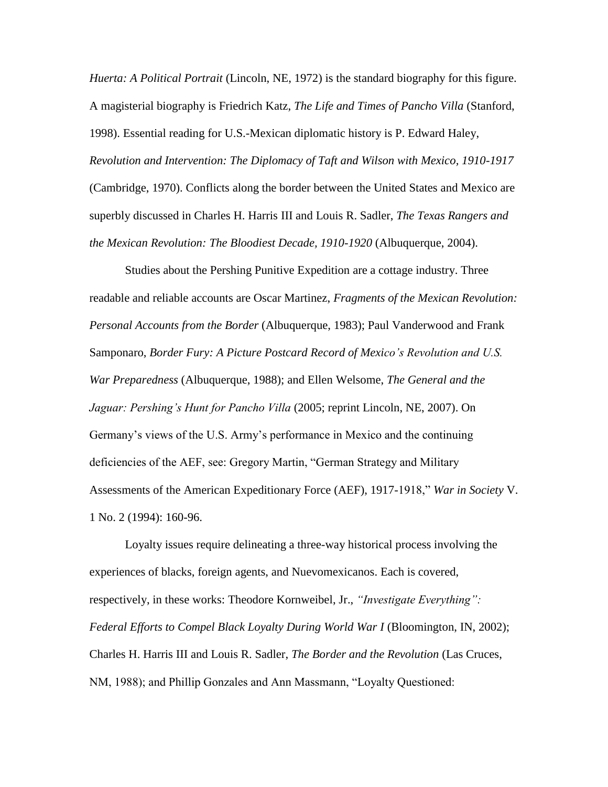*Huerta: A Political Portrait* (Lincoln, NE, 1972) is the standard biography for this figure. A magisterial biography is Friedrich Katz, *The Life and Times of Pancho Villa* (Stanford, 1998). Essential reading for U.S.-Mexican diplomatic history is P. Edward Haley, *Revolution and Intervention: The Diplomacy of Taft and Wilson with Mexico, 1910-1917* (Cambridge, 1970). Conflicts along the border between the United States and Mexico are superbly discussed in Charles H. Harris III and Louis R. Sadler, *The Texas Rangers and the Mexican Revolution: The Bloodiest Decade, 1910-1920* (Albuquerque, 2004).

Studies about the Pershing Punitive Expedition are a cottage industry. Three readable and reliable accounts are Oscar Martinez, *Fragments of the Mexican Revolution: Personal Accounts from the Border* (Albuquerque, 1983); Paul Vanderwood and Frank Samponaro, *Border Fury: A Picture Postcard Record of Mexico's Revolution and U.S. War Preparedness* (Albuquerque, 1988); and Ellen Welsome, *The General and the Jaguar: Pershing's Hunt for Pancho Villa* (2005; reprint Lincoln, NE, 2007). On Germany's views of the U.S. Army's performance in Mexico and the continuing deficiencies of the AEF, see: Gregory Martin, "German Strategy and Military Assessments of the American Expeditionary Force (AEF), 1917-1918," *War in Society* V. 1 No. 2 (1994): 160-96.

Loyalty issues require delineating a three-way historical process involving the experiences of blacks, foreign agents, and Nuevomexicanos. Each is covered, respectively, in these works: Theodore Kornweibel, Jr., *"Investigate Everything": Federal Efforts to Compel Black Loyalty During World War I* (Bloomington, IN, 2002); Charles H. Harris III and Louis R. Sadler, *The Border and the Revolution* (Las Cruces, NM, 1988); and Phillip Gonzales and Ann Massmann, "Loyalty Questioned: